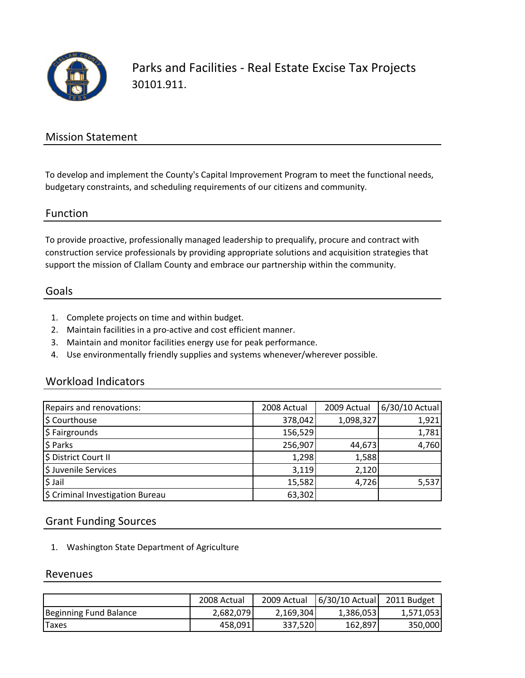

Parks and Facilities ‐ Real Estate Excise Tax Projects 30101.911.

## Mission Statement

To develop and implement the County's Capital Improvement Program to meet the functional needs, budgetary constraints, and scheduling requirements of our citizens and community.

#### Function

To provide proactive, professionally managed leadership to prequalify, procure and contract with construction service professionals by providing appropriate solutions and acquisition strategies that support the mission of Clallam County and embrace our partnership within the community.

### Goals

- 1. Complete projects on time and within budget.
- 2. Maintain facilities in a pro‐active and cost efficient manner.
- 3. Maintain and monitor facilities energy use for peak performance.
- 4. Use environmentally friendly supplies and systems whenever/wherever possible.

### Workload Indicators

| Repairs and renovations:         | 2008 Actual | 2009 Actual | 6/30/10 Actual |
|----------------------------------|-------------|-------------|----------------|
| \$ Courthouse                    | 378,042     | 1,098,327   | 1,921          |
| \$ Fairgrounds                   | 156,529     |             | 1,781          |
| \$ Parks                         | 256,907     | 44,673      | 4,760          |
| \$ District Court II             | 1,298       | 1,588       |                |
| \$ Juvenile Services             | 3,119       | 2,120       |                |
| $$$ Jail                         | 15,582      | 4,726       | 5,537          |
| \$ Criminal Investigation Bureau | 63,302      |             |                |

### Grant Funding Sources

1. Washington State Department of Agriculture

#### Revenues

|                        | 2008 Actual | 2009 Actual | $6/30/10$ Actual | 2011 Budget |
|------------------------|-------------|-------------|------------------|-------------|
| Beginning Fund Balance | 2,682,079   | 2,169,304   | 1,386,053        | 1,571,053   |
| <b>Taxes</b>           | 458,091     | 337,520     | 162,897          | 350,000     |